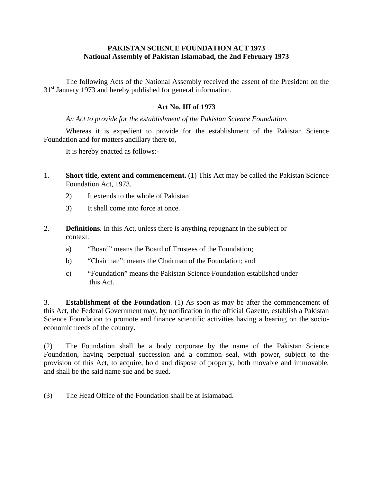### **PAKISTAN SCIENCE FOUNDATION ACT 1973 National Assembly of Pakistan Islamabad, the 2nd February 1973**

 The following Acts of the National Assembly received the assent of the President on the 31<sup>st</sup> January 1973 and hereby published for general information.

## **Act No. III of 1973**

*An Act to provide for the establishment of the Pakistan Science Foundation.* 

 Whereas it is expedient to provide for the establishment of the Pakistan Science Foundation and for matters ancillary there to,

It is hereby enacted as follows:-

- 1. **Short title, extent and commencement.** (1) This Act may be called the Pakistan Science Foundation Act, 1973.
	- 2) It extends to the whole of Pakistan
	- 3) It shall come into force at once.
- 2. **Definitions**. In this Act, unless there is anything repugnant in the subject or context.
	- a) "Board" means the Board of Trustees of the Foundation;
	- b) "Chairman": means the Chairman of the Foundation; and
	- c) "Foundation" means the Pakistan Science Foundation established under this Act.

3. **Establishment of the Foundation**. (1) As soon as may be after the commencement of this Act, the Federal Government may, by notification in the official Gazette, establish a Pakistan Science Foundation to promote and finance scientific activities having a bearing on the socioeconomic needs of the country.

(2) The Foundation shall be a body corporate by the name of the Pakistan Science Foundation, having perpetual succession and a common seal, with power, subject to the provision of this Act, to acquire, hold and dispose of property, both movable and immovable, and shall be the said name sue and be sued.

(3) The Head Office of the Foundation shall be at Islamabad.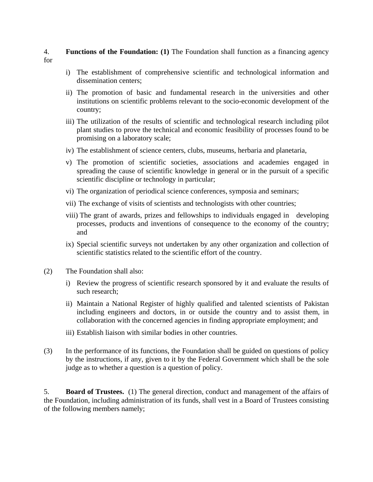#### 4. **Functions of the Foundation: (1)** The Foundation shall function as a financing agency for

- i) The establishment of comprehensive scientific and technological information and dissemination centers;
- ii) The promotion of basic and fundamental research in the universities and other institutions on scientific problems relevant to the socio-economic development of the country;
- iii) The utilization of the results of scientific and technological research including pilot plant studies to prove the technical and economic feasibility of processes found to be promising on a laboratory scale;
- iv) The establishment of science centers, clubs, museums, herbaria and planetaria,
- v) The promotion of scientific societies, associations and academies engaged in spreading the cause of scientific knowledge in general or in the pursuit of a specific scientific discipline or technology in particular;
- vi) The organization of periodical science conferences, symposia and seminars;
- vii) The exchange of visits of scientists and technologists with other countries;
- viii) The grant of awards, prizes and fellowships to individuals engaged in developing processes, products and inventions of consequence to the economy of the country; and
- ix) Special scientific surveys not undertaken by any other organization and collection of scientific statistics related to the scientific effort of the country.
- (2) The Foundation shall also:
	- i) Review the progress of scientific research sponsored by it and evaluate the results of such research;
	- ii) Maintain a National Register of highly qualified and talented scientists of Pakistan including engineers and doctors, in or outside the country and to assist them, in collaboration with the concerned agencies in finding appropriate employment; and
	- iii) Establish liaison with similar bodies in other countries.
- (3) In the performance of its functions, the Foundation shall be guided on questions of policy by the instructions, if any, given to it by the Federal Government which shall be the sole judge as to whether a question is a question of policy.

5. **Board of Trustees.** (1) The general direction, conduct and management of the affairs of the Foundation, including administration of its funds, shall vest in a Board of Trustees consisting of the following members namely;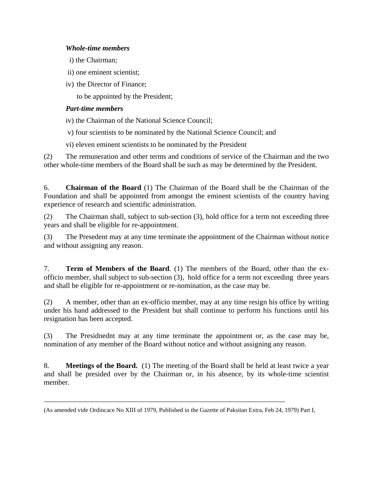## *Whole-time members*

- i) the Chairman;
- ii) one eminent scientist;
- iv) the Director of Finance;

to be appointed by the President;

# *Part-time members*

iv) the Chairman of the National Science Council;

- v) four scientists to be nominated by the National Science Council; and
- vi) eleven eminent scientists to be nominated by the President

(2) The remuneration and other terms and conditions of service of the Chairman and the two other whole-time members of the Board shall be such as may be determined by the President.

6. **Chairman of the Board** (1) The Chairman of the Board shall be the Chairman of the Foundation and shall be appointed from amongst the eminent scientists of the country having experience of research and scientific administration.

(2) The Chairman shall, subject to sub-section (3), hold office for a term not exceeding three years and shall be eligible for re-appointment.

(3) The Presedent may at any time terminate the appointment of the Chairman without notice and without assigning any reason.

7. **Term of Members of the Board**. (1) The members of the Board, other than the exofficio member, shall subject to sub-section (3), hold office for a term not exceeding three years and shall be eligible for re-appointment or re-nomination, as the case may be.

(2) A member, other than an ex-officio member, may at any time resign his office by writing under his hand addressed to the President but shall continue to perform his functions until his resignation has been accepted.

(3) The Presidnednt may at any time terminate the appointment or, as the case may be, nomination of any member of the Board without notice and without assigning any reason.

8. **Meetings of the Board.** (1) The meeting of the Board shall be held at least twice a year and shall be presided over by the Chairman or, in his absence, by its whole-time scientist member.

\_\_\_\_\_\_\_\_\_\_\_\_\_\_\_\_\_\_\_\_\_\_\_\_\_\_\_\_\_\_\_\_\_\_\_\_\_\_\_\_\_\_\_\_\_\_\_\_\_\_\_\_\_\_\_\_\_\_\_\_\_\_\_\_\_\_

<sup>(</sup>As amended vide Ordincace No XIII of 1979, Published in the Gazette of Paksitan Extra, Feb 24, 1979) Part I,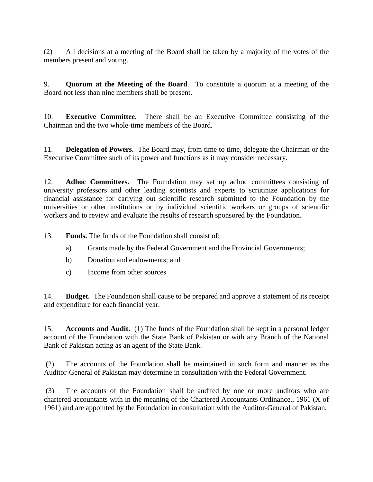(2) All decisions at a meeting of the Board shall be taken by a majority of the votes of the members present and voting.

9. **Quorum at the Meeting of the Board**. To constitute a quorum at a meeting of the Board not less than nine members shall be present.

10. **Executive Committee.** There shall be an Executive Committee consisting of the Chairman and the two whole-time members of the Board.

11. **Delegation of Powers.** The Board may, from time to time, delegate the Chairman or the Executive Committee such of its power and functions as it may consider necessary.

12. **Adhoc Committees.** The Foundation may set up adhoc committees consisting of university professors and other leading scientists and experts to scrutinize applications for financial assistance for carrying out scientific research submitted to the Foundation by the universities or other institutions or by individual scientific workers or groups of scientific workers and to review and evaluate the results of research sponsored by the Foundation.

13. **Funds.** The funds of the Foundation shall consist of:

- a) Grants made by the Federal Government and the Provincial Governments;
- b) Donation and endowments; and
- c) Income from other sources

14. **Budget.** The Foundation shall cause to be prepared and approve a statement of its receipt and expenditure for each financial year.

15. **Accounts and Audit.** (1) The funds of the Foundation shall be kept in a personal ledger account of the Foundation with the State Bank of Pakistan or with any Branch of the National Bank of Pakistan acting as an agent of the State Bank.

 (2) The accounts of the Foundation shall be maintained in such form and manner as the Auditor-General of Pakistan may determine in consultation with the Federal Government.

 (3) The accounts of the Foundation shall be audited by one or more auditors who are chartered accountants with in the meaning of the Chartered Accountants Ordinance., 1961 (X of 1961) and are appointed by the Foundation in consultation with the Auditor-General of Pakistan.